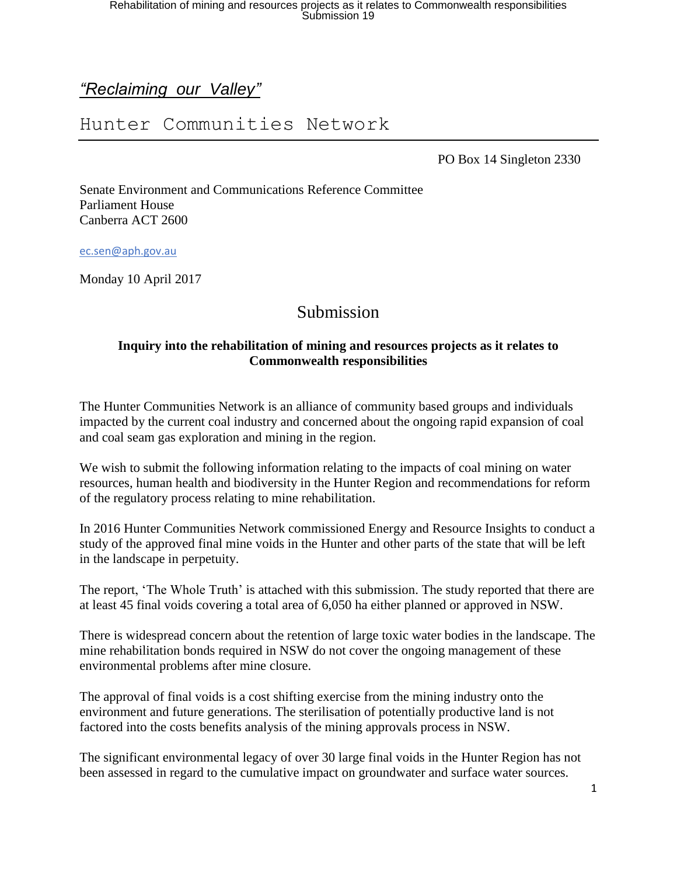## *"Reclaiming our Valley"*

## Hunter Communities Network

PO Box 14 Singleton 2330

Senate Environment and Communications Reference Committee Parliament House Canberra ACT 2600

[ec.sen@aph.gov.au](mailto:ec.sen@aph.gov.au)

Monday 10 April 2017

## Submission

#### **Inquiry into the rehabilitation of mining and resources projects as it relates to Commonwealth responsibilities**

The Hunter Communities Network is an alliance of community based groups and individuals impacted by the current coal industry and concerned about the ongoing rapid expansion of coal and coal seam gas exploration and mining in the region.

We wish to submit the following information relating to the impacts of coal mining on water resources, human health and biodiversity in the Hunter Region and recommendations for reform of the regulatory process relating to mine rehabilitation.

In 2016 Hunter Communities Network commissioned Energy and Resource Insights to conduct a study of the approved final mine voids in the Hunter and other parts of the state that will be left in the landscape in perpetuity.

The report, 'The Whole Truth' is attached with this submission. The study reported that there are at least 45 final voids covering a total area of 6,050 ha either planned or approved in NSW.

There is widespread concern about the retention of large toxic water bodies in the landscape. The mine rehabilitation bonds required in NSW do not cover the ongoing management of these environmental problems after mine closure.

The approval of final voids is a cost shifting exercise from the mining industry onto the environment and future generations. The sterilisation of potentially productive land is not factored into the costs benefits analysis of the mining approvals process in NSW.

The significant environmental legacy of over 30 large final voids in the Hunter Region has not been assessed in regard to the cumulative impact on groundwater and surface water sources.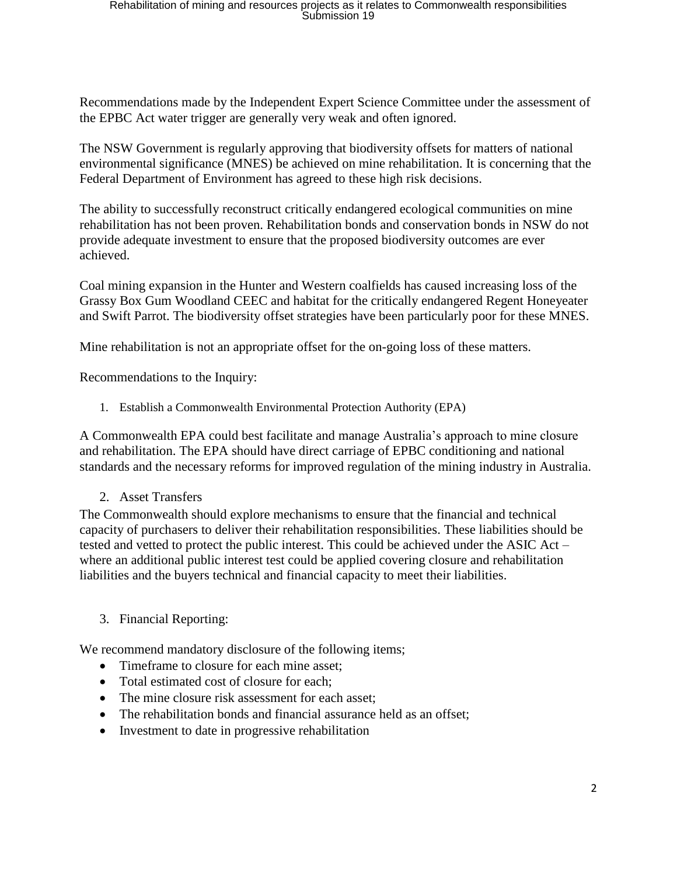Recommendations made by the Independent Expert Science Committee under the assessment of the EPBC Act water trigger are generally very weak and often ignored.

The NSW Government is regularly approving that biodiversity offsets for matters of national environmental significance (MNES) be achieved on mine rehabilitation. It is concerning that the Federal Department of Environment has agreed to these high risk decisions.

The ability to successfully reconstruct critically endangered ecological communities on mine rehabilitation has not been proven. Rehabilitation bonds and conservation bonds in NSW do not provide adequate investment to ensure that the proposed biodiversity outcomes are ever achieved.

Coal mining expansion in the Hunter and Western coalfields has caused increasing loss of the Grassy Box Gum Woodland CEEC and habitat for the critically endangered Regent Honeyeater and Swift Parrot. The biodiversity offset strategies have been particularly poor for these MNES.

Mine rehabilitation is not an appropriate offset for the on-going loss of these matters.

Recommendations to the Inquiry:

1. Establish a Commonwealth Environmental Protection Authority (EPA)

A Commonwealth EPA could best facilitate and manage Australia's approach to mine closure and rehabilitation. The EPA should have direct carriage of EPBC conditioning and national standards and the necessary reforms for improved regulation of the mining industry in Australia.

2. Asset Transfers

The Commonwealth should explore mechanisms to ensure that the financial and technical capacity of purchasers to deliver their rehabilitation responsibilities. These liabilities should be tested and vetted to protect the public interest. This could be achieved under the ASIC Act – where an additional public interest test could be applied covering closure and rehabilitation liabilities and the buyers technical and financial capacity to meet their liabilities.

3. Financial Reporting:

We recommend mandatory disclosure of the following items;

- Timeframe to closure for each mine asset;
- Total estimated cost of closure for each:
- The mine closure risk assessment for each asset:
- The rehabilitation bonds and financial assurance held as an offset;
- Investment to date in progressive rehabilitation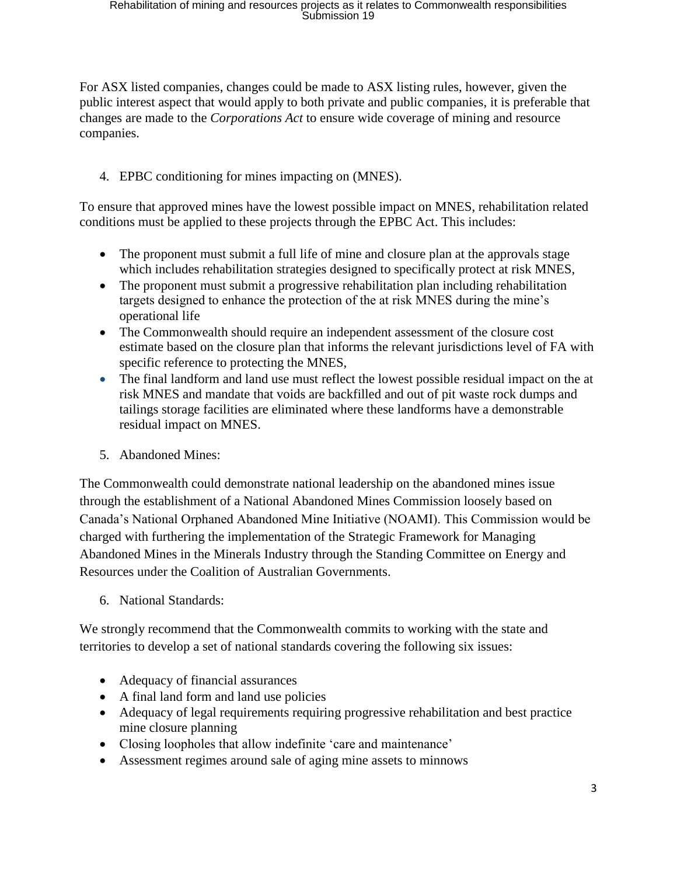For ASX listed companies, changes could be made to ASX listing rules, however, given the public interest aspect that would apply to both private and public companies, it is preferable that changes are made to the *Corporations Act* to ensure wide coverage of mining and resource companies.

### 4. EPBC conditioning for mines impacting on (MNES).

To ensure that approved mines have the lowest possible impact on MNES, rehabilitation related conditions must be applied to these projects through the EPBC Act. This includes:

- The proponent must submit a full life of mine and closure plan at the approvals stage which includes rehabilitation strategies designed to specifically protect at risk MNES,
- The proponent must submit a progressive rehabilitation plan including rehabilitation targets designed to enhance the protection of the at risk MNES during the mine's operational life
- The Commonwealth should require an independent assessment of the closure cost estimate based on the closure plan that informs the relevant jurisdictions level of FA with specific reference to protecting the MNES,
- The final landform and land use must reflect the lowest possible residual impact on the at risk MNES and mandate that voids are backfilled and out of pit waste rock dumps and tailings storage facilities are eliminated where these landforms have a demonstrable residual impact on MNES.
- 5. Abandoned Mines:

The Commonwealth could demonstrate national leadership on the abandoned mines issue through the establishment of a National Abandoned Mines Commission loosely based on Canada's National Orphaned Abandoned Mine Initiative (NOAMI). This Commission would be charged with furthering the implementation of the Strategic Framework for Managing Abandoned Mines in the Minerals Industry through the Standing Committee on Energy and Resources under the Coalition of Australian Governments.

6. National Standards:

We strongly recommend that the Commonwealth commits to working with the state and territories to develop a set of national standards covering the following six issues:

- Adequacy of financial assurances
- A final land form and land use policies
- Adequacy of legal requirements requiring progressive rehabilitation and best practice mine closure planning
- Closing loopholes that allow indefinite 'care and maintenance'
- Assessment regimes around sale of aging mine assets to minnows